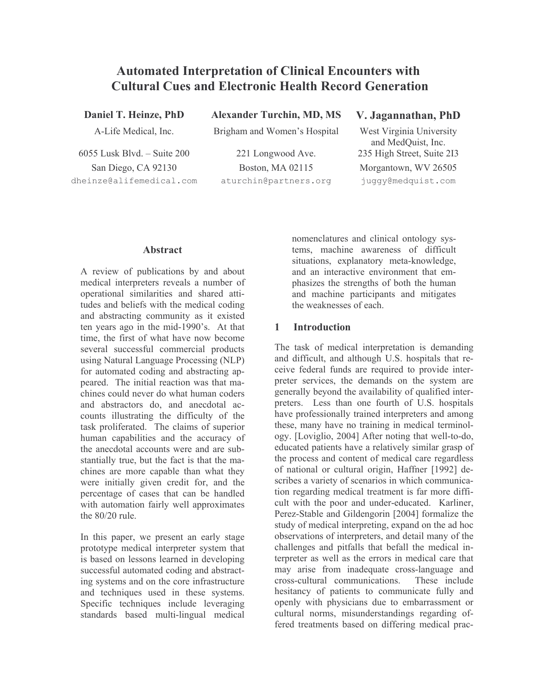# **Automated Interpretation of Clinical Encounters with Cultural Cues and Electronic Health Record Generation**

Daniel T. Heinze, PhD

A-Life Medical, Inc.

 $6055$  Lusk Blvd  $-$  Suite 200 San Diego, CA 92130 dheinze@alifemedical.com **Alexander Turchin, MD, MS** 

Brigham and Women's Hospital

221 Longwood Ave. Boston, MA 02115 aturchin@partners.org

## V. Jagannathan, PhD

West Virginia University and MedOuist, Inc. 235 High Street, Suite 2I3 Morgantown, WV 26505 juggy@medquist.com

### **Abstract**

A review of publications by and about medical interpreters reveals a number of operational similarities and shared attitudes and beliefs with the medical coding and abstracting community as it existed ten years ago in the mid-1990's. At that time, the first of what have now become several successful commercial products using Natural Language Processing (NLP) for automated coding and abstracting apneared The initial reaction was that machines could never do what human coders and abstractors do, and anecdotal accounts illustrating the difficulty of the task proliferated. The claims of superior human capabilities and the accuracy of the anecdotal accounts were and are substantially true, but the fact is that the machines are more capable than what they were initially given credit for, and the percentage of cases that can be handled with automation fairly well approximates the  $80/20$  rule.

In this paper, we present an early stage prototype medical interpreter system that is based on lessons learned in developing successful automated coding and abstracting systems and on the core infrastructure and techniques used in these systems. Specific techniques include leveraging standards based multi-lingual medical

nomenclatures and clinical ontology systems, machine awareness of difficult situations, explanatory meta-knowledge, and an interactive environment that emphasizes the strengths of both the human and machine participants and mitigates the weaknesses of each.

#### $\blacksquare$ **Introduction**

The task of medical interpretation is demanding and difficult, and although U.S. hospitals that receive federal funds are required to provide interpreter services, the demands on the system are generally beyond the availability of qualified interpreters. Less than one fourth of U.S. hospitals have professionally trained interpreters and among these, many have no training in medical terminology. [Loviglio, 2004] After noting that well-to-do, educated patients have a relatively similar grasp of the process and content of medical care regardless of national or cultural origin, Haffner [1992] describes a variety of scenarios in which communication regarding medical treatment is far more difficult with the poor and under-educated. Karliner, Perez-Stable and Gildengorin [2004] formalize the study of medical interpreting, expand on the ad hoc observations of interpreters, and detail many of the challenges and pitfalls that befall the medical interpreter as well as the errors in medical care that may arise from inadequate cross-language and cross-cultural communications. These include hesitancy of patients to communicate fully and openly with physicians due to embarrassment or cultural norms, misunderstandings regarding offered treatments based on differing medical prac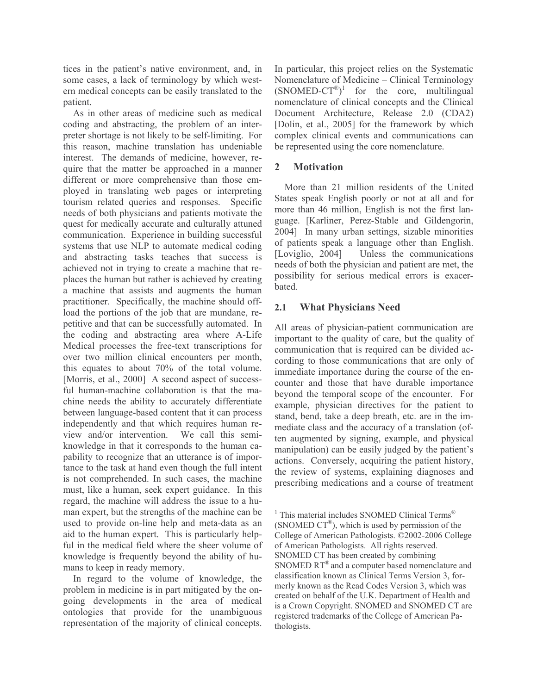tices in the patient's native environment, and, in some cases, a lack of terminology by which western medical concepts can be easily translated to the patient.

As in other areas of medicine such as medical coding and abstracting, the problem of an interpreter shortage is not likely to be self-limiting. For this reason, machine translation has undeniable interest. The demands of medicine, however, require that the matter be approached in a manner different or more comprehensive than those employed in translating web pages or interpreting tourism related queries and responses. Specific needs of both physicians and patients motivate the quest for medically accurate and culturally attuned communication. Experience in building successful systems that use NLP to automate medical coding and abstracting tasks teaches that success is achieved not in trying to create a machine that replaces the human but rather is achieved by creating a machine that assists and augments the human practitioner. Specifically, the machine should offload the portions of the job that are mundane, repetitive and that can be successfully automated. In the coding and abstracting area where A-Life Medical processes the free-text transcriptions for over two million clinical encounters per month, this equates to about 70% of the total volume. [Morris, et al., 2000] A second aspect of successful human-machine collaboration is that the machine needs the ability to accurately differentiate between language-based content that it can process independently and that which requires human review and/or intervention. We call this semiknowledge in that it corresponds to the human capability to recognize that an utterance is of importance to the task at hand even though the full intent is not comprehended. In such cases, the machine must, like a human, seek expert guidance. In this regard, the machine will address the issue to a human expert, but the strengths of the machine can be used to provide on-line help and meta-data as an aid to the human expert. This is particularly helpful in the medical field where the sheer volume of knowledge is frequently beyond the ability of humans to keep in ready memory.

In regard to the volume of knowledge, the problem in medicine is in part mitigated by the ongoing developments in the area of medical ontologies that provide for the unambiguous representation of the majority of clinical concepts. In particular, this project relies on the Systematic Nomenclature of Medicine – Clinical Terminology  $(SNOMED-CT^{\otimes})^1$  for the core, multilingual nomenclature of clinical concepts and the Clinical Document Architecture, Release 2.0 (CDA2) [Dolin, et al., 2005] for the framework by which complex clinical events and communications can be represented using the core nomenclature.

#### $\mathbf{2}$ **Motivation**

More than 21 million residents of the United States speak English poorly or not at all and for more than 46 million, English is not the first language. [Karliner, Perez-Stable and Gildengorin, 2004] In many urban settings, sizable minorities of patients speak a language other than English. [Loviglio, 2004] Unless the communications needs of both the physician and patient are met, the possibility for serious medical errors is exacerbated.

#### $2.1$ **What Physicians Need**

All areas of physician-patient communication are important to the quality of care, but the quality of communication that is required can be divided according to those communications that are only of immediate importance during the course of the encounter and those that have durable importance beyond the temporal scope of the encounter. For example, physician directives for the patient to stand, bend, take a deep breath, etc. are in the immediate class and the accuracy of a translation (often augmented by signing, example, and physical manipulation) can be easily judged by the patient's actions. Conversely, acquiring the patient history, the review of systems, explaining diagnoses and prescribing medications and a course of treatment

<sup>&</sup>lt;sup>1</sup> This material includes SNOMED Clinical Terms<sup>®</sup> (SNOMED  $CT^{\circledR}$ ), which is used by permission of the College of American Pathologists. ©2002-2006 College of American Pathologists. All rights reserved. SNOMED CT has been created by combining SNOMED RT<sup>®</sup> and a computer based nomenclature and classification known as Clinical Terms Version 3, formerly known as the Read Codes Version 3, which was created on behalf of the U.K. Department of Health and is a Crown Copyright. SNOMED and SNOMED CT are registered trademarks of the College of American Pathologists.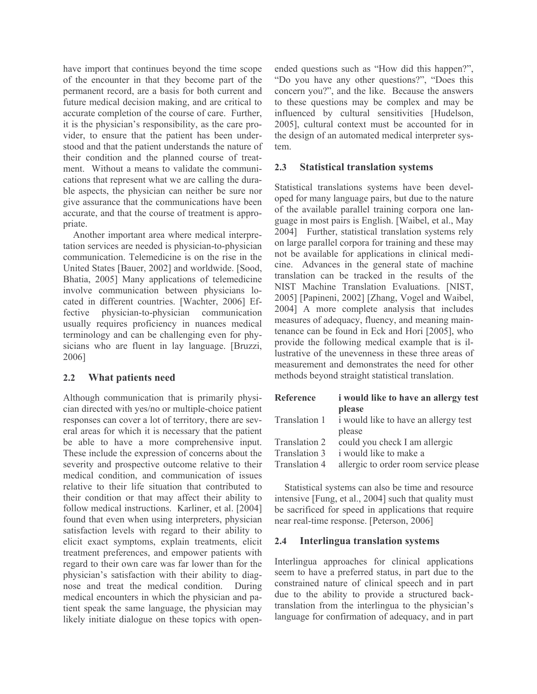have import that continues beyond the time scope of the encounter in that they become part of the permanent record, are a basis for both current and future medical decision making, and are critical to accurate completion of the course of care. Further, it is the physician's responsibility, as the care provider, to ensure that the patient has been understood and that the patient understands the nature of their condition and the planned course of treatment. Without a means to validate the communications that represent what we are calling the durable aspects, the physician can neither be sure nor give assurance that the communications have been accurate, and that the course of treatment is appropriate.

Another important area where medical interpretation services are needed is physician-to-physician communication. Telemedicine is on the rise in the United States [Bauer, 2002] and worldwide. [Sood, Bhatia, 2005] Many applications of telemedicine involve communication between physicians located in different countries. [Wachter, 2006] Efphysician-to-physician communication fective usually requires proficiency in nuances medical terminology and can be challenging even for physicians who are fluent in lay language. [Bruzzi, 2006]

#### $2.2$ What patients need

Although communication that is primarily physician directed with yes/no or multiple-choice patient responses can cover a lot of territory, there are several areas for which it is necessary that the patient be able to have a more comprehensive input. These include the expression of concerns about the severity and prospective outcome relative to their medical condition, and communication of issues relative to their life situation that contributed to their condition or that may affect their ability to follow medical instructions. Karliner, et al. [2004] found that even when using interpreters, physician satisfaction levels with regard to their ability to elicit exact symptoms, explain treatments, elicit treatment preferences, and empower patients with regard to their own care was far lower than for the physician's satisfaction with their ability to diagnose and treat the medical condition. During medical encounters in which the physician and patient speak the same language, the physician may likely initiate dialogue on these topics with openended questions such as "How did this happen?", "Do you have any other questions?", "Does this concern you?", and the like. Because the answers to these questions may be complex and may be influenced by cultural sensitivities [Hudelson, 2005], cultural context must be accounted for in the design of an automated medical interpreter system.

#### $2.3$ **Statistical translation systems**

Statistical translations systems have been developed for many language pairs, but due to the nature of the available parallel training corpora one language in most pairs is English. [Waibel, et al., May 2004] Further, statistical translation systems rely on large parallel corpora for training and these may not be available for applications in clinical medicine. Advances in the general state of machine translation can be tracked in the results of the NIST Machine Translation Evaluations. [NIST, 2005] [Papineni, 2002] [Zhang, Vogel and Waibel, 2004] A more complete analysis that includes measures of adequacy, fluency, and meaning maintenance can be found in Eck and Hori [2005], who provide the following medical example that is illustrative of the unevenness in these three areas of measurement and demonstrates the need for other methods beyond straight statistical translation.

| Reference     | <i>i</i> would like to have an allergy test |
|---------------|---------------------------------------------|
|               | please                                      |
| Translation 1 | i would like to have an allergy test        |
|               | please                                      |
| Translation 2 | could you check I am allergic               |
| Translation 3 | i would like to make a                      |
| Translation 4 | allergic to order room service please       |

Statistical systems can also be time and resource intensive [Fung, et al., 2004] such that quality must be sacrificed for speed in applications that require near real-time response. [Peterson, 2006]

#### $2.4$ **Interlingua translation systems**

Interlingua approaches for clinical applications seem to have a preferred status, in part due to the constrained nature of clinical speech and in part due to the ability to provide a structured backtranslation from the interlingua to the physician's language for confirmation of adequacy, and in part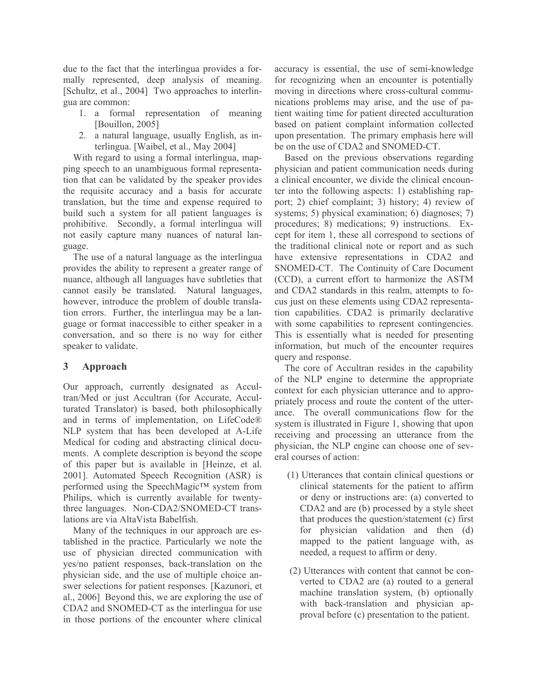due to the fact that the interlingua provides a formally represented, deep analysis of meaning. [Schultz, et al., 2004] Two approaches to interlingua are common:

- 1. a formal representation of meaning [Bouillon, 2005]
- 2. a natural language, usually English, as interlingua. [Waibel, et al., May 2004]

With regard to using a formal interlingua, mapping speech to an unambiguous formal representation that can be validated by the speaker provides the requisite accuracy and a basis for accurate translation, but the time and expense required to build such a system for all patient languages is prohibitive. Secondly, a formal interlingua will not easily capture many nuances of natural language.

The use of a natural language as the interlingua provides the ability to represent a greater range of nuance, although all languages have subtleties that cannot easily be translated. Natural languages. however, introduce the problem of double translation errors. Further, the interlingua may be a language or format inaccessible to either speaker in a conversation, and so there is no way for either speaker to validate.

#### $\mathbf{3}$ Approach

Our approach, currently designated as Accultran/Med or just Accultran (for Accurate, Acculturated Translator) is based, both philosophically and in terms of implementation, on LifeCode® NLP system that has been developed at A-Life Medical for coding and abstracting clinical documents. A complete description is beyond the scope of this paper but is available in [Heinze, et al. 2001]. Automated Speech Recognition (ASR) is performed using the SpeechMagic™ system from Philips, which is currently available for twentythree languages. Non-CDA2/SNOMED-CT translations are via AltaVista Babelfish.

Many of the techniques in our approach are established in the practice. Particularly we note the use of physician directed communication with yes/no patient responses, back-translation on the physician side, and the use of multiple choice answer selections for patient responses. [Kazunori, et al., 2006] Beyond this, we are exploring the use of CDA2 and SNOMED-CT as the interlingua for use in those portions of the encounter where clinical accuracy is essential, the use of semi-knowledge for recognizing when an encounter is potentially moving in directions where cross-cultural communications problems may arise, and the use of patient waiting time for patient directed acculturation based on patient complaint information collected upon presentation. The primary emphasis here will be on the use of CDA2 and SNOMED-CT.

Based on the previous observations regarding physician and patient communication needs during a clinical encounter, we divide the clinical encounter into the following aspects: 1) establishing rapport; 2) chief complaint; 3) history; 4) review of systems; 5) physical examination; 6) diagnoses; 7) procedures; 8) medications; 9) instructions. Except for item 1, these all correspond to sections of the traditional clinical note or report and as such have extensive representations in CDA2 and SNOMED-CT. The Continuity of Care Document (CCD), a current effort to harmonize the ASTM and CDA2 standards in this realm, attempts to focus just on these elements using CDA2 representation capabilities. CDA2 is primarily declarative with some capabilities to represent contingencies. This is essentially what is needed for presenting information, but much of the encounter requires query and response.

The core of Accultran resides in the capability of the NLP engine to determine the appropriate context for each physician utterance and to appropriately process and route the content of the utterance. The overall communications flow for the system is illustrated in Figure 1, showing that upon receiving and processing an utterance from the physician, the NLP engine can choose one of several courses of action:

- (1) Utterances that contain clinical questions or clinical statements for the patient to affirm or deny or instructions are: (a) converted to CDA2 and are (b) processed by a style sheet that produces the question/statement (c) first for physician validation and then (d) mapped to the patient language with, as needed, a request to affirm or deny.
- (2) Utterances with content that cannot be converted to CDA2 are (a) routed to a general machine translation system, (b) optionally with back-translation and physician approval before (c) presentation to the patient.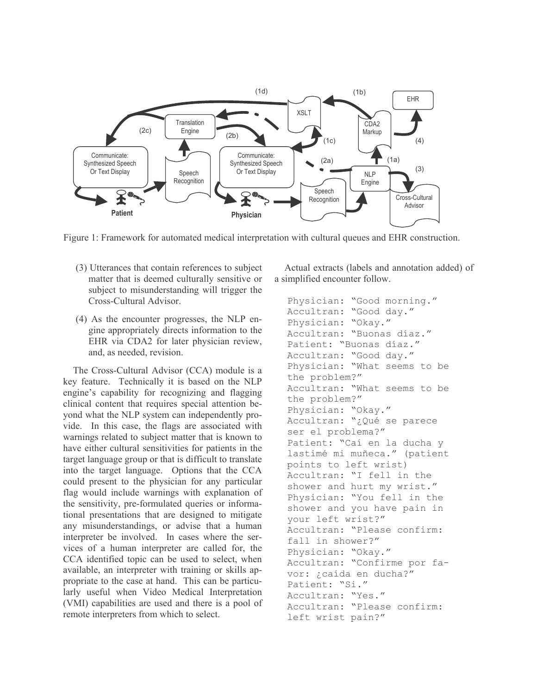

Figure 1: Framework for automated medical interpretation with cultural queues and EHR construction.

- (3) Utterances that contain references to subject matter that is deemed culturally sensitive or subject to misunderstanding will trigger the Cross-Cultural Advisor.
- (4) As the encounter progresses, the NLP engine appropriately directs information to the EHR via CDA2 for later physician review, and, as needed, revision.

The Cross-Cultural Advisor (CCA) module is a key feature. Technically it is based on the NLP engine's capability for recognizing and flagging clinical content that requires special attention beyond what the NLP system can independently provide. In this case, the flags are associated with warnings related to subject matter that is known to have either cultural sensitivities for patients in the target language group or that is difficult to translate into the target language. Options that the CCA could present to the physician for any particular flag would include warnings with explanation of the sensitivity, pre-formulated queries or informational presentations that are designed to mitigate any misunderstandings, or advise that a human interpreter be involved. In cases where the services of a human interpreter are called for, the CCA identified topic can be used to select, when available, an interpreter with training or skills appropriate to the case at hand. This can be particularly useful when Video Medical Interpretation (VMI) capabilities are used and there is a pool of remote interpreters from which to select.

Actual extracts (labels and annotation added) of a simplified encounter follow.

```
Physician: "Good morning."
Accultran: "Good day."
Physician: "Okay."
Accultran: "Buonas díaz."
Patient: "Buonas díaz."
Accultran: "Good day."
Physician: "What seems to be
the problem?"
Accultran: "What seems to be
the problem?"
Physician: "Okay."
Accultran: "¿Qué se parece
ser el problema?"
Patient: "Caí en la ducha y
lastimé mi muñeca." (patient
points to left wrist)
Accultran: "I fell in the
shower and hurt my wrist."
Physician: "You fell in the
shower and you have pain in
your left wrist?"
Accultran: "Please confirm:
fall in shower?"
Physician: "Okay."
Accultran: "Confirme por fa-
vor: ¿caída en ducha?"
Patient: "Si."
Accultran: "Yes."
Accultran: "Please confirm:
left wrist pain?"
```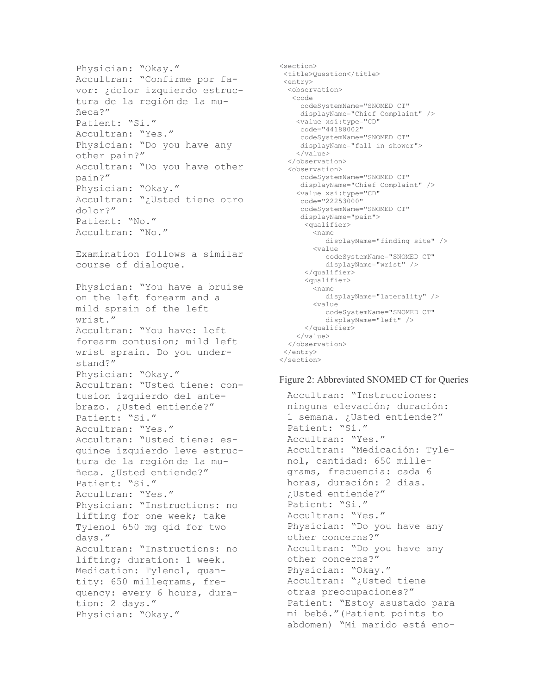Physician: "Okay." Accultran: "Confirme por favor: ¿dolor izquierdo estructura de la región de la muñeca?" Patient: "Si." Accultran: "Yes." Physician: "Do you have any other pain?" Accultran: "Do you have other pain?" Physician: "Okay." Accultran: "¿Usted tiene otro dolor?" Patient: "No." Accultran: "No." Examination follows a similar course of dialogue. Physician: "You have a bruise on the left forearm and a mild sprain of the left wrist." Accultran: "You have: left forearm contusion; mild left wrist sprain. Do you understand?" Physician: "Okay." Accultran: "Usted tiene: contusion izquierdo del antebrazo. ¿Usted entiende?" Patient: "Si." Accultran: "Yes." Accultran: "Usted tiene: esquince izquierdo leve estructura de la región de la muñeca. ¿Usted entiende?" Patient: "Si." Accultran: "Yes." Physician: "Instructions: no lifting for one week; take Tylenol 650 mg qid for two days." Accultran: "Instructions: no lifting; duration: 1 week. Medication: Tylenol, quantity: 650 millegrams, frequency: every 6 hours, duration: 2 days." Physician: "Okay."

```
<section>
<title>Question</title>
<entry>
 <observation>
  <code
     codeSystemName="SNOMED CT"
    displayName="Chief Complaint" />
   <value xsi:type="CD"
    code="44188002"
    codeSystemName="SNOMED CT"
    displayName="fall in shower">
    \langle/value>
  </observation>
  <observation>
     codeSystemName="SNOMED CT"
     displayName="Chief Complaint" />
    <value xsi:type="CD"
    code="22253000"
     codeSystemName="SNOMED CT"
     displayName="pain">
     <qualifier>
        <name
           displayName="finding site" />
        <value
          codeSystemName="SNOMED CT"
           displayName="wrist" />
      </qualifier>
      <qualifier>
        <name
          displayName="laterality" />
        <value
          codeSystemName="SNOMED CT"
          displayName="left" />
      </qualifier>
   \langle/value>
 </observation>
 \langle/entry>
</section>
```
### Figure 2: Abbreviated SNOMED CT for Queries

Accultran: "Instrucciones: ninguna elevación; duración: 1 semana. ¿Usted entiende?" Patient: "Si." Accultran: "Yes." Accultran: "Medicación: Tylenol, cantidad: 650 millegrams, frecuencia: cada 6 horas, duración: 2 días. :Usted entiende?" Patient: "Si." Accultran: "Yes." Physician: "Do you have any other concerns?" Accultran: "Do you have any other concerns?" Physician: "Okay." Accultran: "¿Usted tiene otras preocupaciones?" Patient: "Estoy asustado para mi bebé." (Patient points to abdomen) "Mi marido está eno-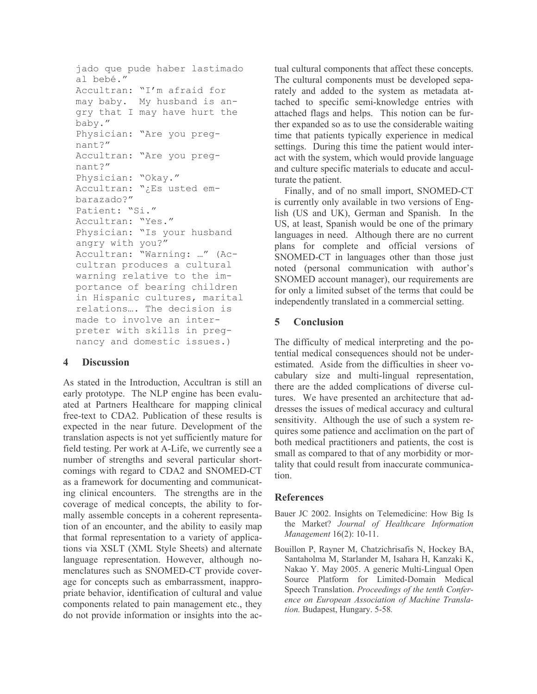```
jado que pude haber lastimado
al bebé."
Accultran: "I'm afraid for
may baby. My husband is an-
gry that I may have hurt the
baby."
Physician: "Are you preg-
nant?"
Accultran: "Are you preq-
nant?"
Physician: "Okay."
Accultran: "¿Es usted em-
barazado?"
Patient: "Si."
Accultran: "Yes."
Physician: "Is your husband
angry with you?"
Accultran: "Warning: ..." (Ac-
cultran produces a cultural
warning relative to the im-
portance of bearing children
in Hispanic cultures, marital
relations.... The decision is
made to involve an inter-
preter with skills in preg-
nancy and domestic issues.)
```
#### $\overline{\mathbf{4}}$ **Discussion**

As stated in the Introduction, Accultran is still an early prototype. The NLP engine has been evaluated at Partners Healthcare for mapping clinical free-text to CDA2. Publication of these results is expected in the near future. Development of the translation aspects is not yet sufficiently mature for field testing. Per work at A-Life, we currently see a number of strengths and several particular shortcomings with regard to CDA2 and SNOMED-CT as a framework for documenting and communicating clinical encounters. The strengths are in the coverage of medical concepts, the ability to formally assemble concepts in a coherent representation of an encounter, and the ability to easily map that formal representation to a variety of applications via XSLT (XML Style Sheets) and alternate language representation. However, although nomenclatures such as SNOMED-CT provide coverage for concepts such as embarrassment, inappropriate behavior, identification of cultural and value components related to pain management etc., they do not provide information or insights into the actual cultural components that affect these concepts. The cultural components must be developed separately and added to the system as metadata attached to specific semi-knowledge entries with attached flags and helps. This notion can be further expanded so as to use the considerable waiting time that patients typically experience in medical settings. During this time the patient would interact with the system, which would provide language and culture specific materials to educate and acculturate the patient.

Finally, and of no small import, SNOMED-CT is currently only available in two versions of English (US and UK), German and Spanish. In the US, at least, Spanish would be one of the primary languages in need. Although there are no current plans for complete and official versions of SNOMED-CT in languages other than those just noted (personal communication with author's SNOMED account manager), our requirements are for only a limited subset of the terms that could be independently translated in a commercial setting.

#### $\overline{\mathbf{5}}$ **Conclusion**

The difficulty of medical interpreting and the potential medical consequences should not be underestimated. Aside from the difficulties in sheer vocabulary size and multi-lingual representation, there are the added complications of diverse cultures. We have presented an architecture that addresses the issues of medical accuracy and cultural sensitivity. Although the use of such a system requires some patience and acclimation on the part of both medical practitioners and patients, the cost is small as compared to that of any morbidity or mortality that could result from inaccurate communication.

### **References**

- Bauer JC 2002. Insights on Telemedicine: How Big Is the Market? Journal of Healthcare Information Management 16(2): 10-11.
- Bouillon P, Rayner M, Chatzichrisafis N, Hockey BA, Santaholma M, Starlander M, Isahara H, Kanzaki K, Nakao Y. May 2005. A generic Multi-Lingual Open Source Platform for Limited-Domain Medical Speech Translation. Proceedings of the tenth Conference on European Association of Machine Translation. Budapest, Hungary. 5-58.